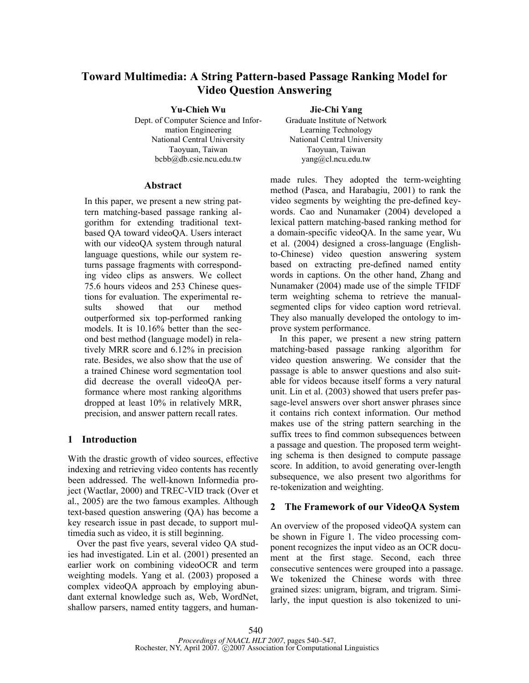# **Toward Multimedia: A String Pattern-based Passage Ranking Model for Video Question Answering**

# **Yu-Chieh Wu Jie-Chi Yang**

Dept. of Computer Science and Information Engineering National Central University National Central University Taoyuan, Taiwan Taoyuan, Taiwan bcbb@db.csie.ncu.edu.tw yang@cl.ncu.edu.tw

# **Abstract**

In this paper, we present a new string pattern matching-based passage ranking algorithm for extending traditional textbased QA toward videoQA. Users interact with our videoOA system through natural language questions, while our system returns passage fragments with corresponding video clips as answers. We collect 75.6 hours videos and 253 Chinese questions for evaluation. The experimental results showed that our method outperformed six top-performed ranking models. It is 10.16% better than the second best method (language model) in relatively MRR score and 6.12% in precision rate. Besides, we also show that the use of a trained Chinese word segmentation tool did decrease the overall videoQA performance where most ranking algorithms dropped at least 10% in relatively MRR, precision, and answer pattern recall rates.

# **1 Introduction**

With the drastic growth of video sources, effective indexing and retrieving video contents has recently been addressed. The well-known Informedia project (Wactlar, 2000) and TREC-VID track (Over et al., 2005) are the two famous examples. Although text-based question answering (QA) has become a key research issue in past decade, to support multimedia such as video, it is still beginning.

Over the past five years, several video QA studies had investigated. Lin et al. (2001) presented an earlier work on combining videoOCR and term weighting models. Yang et al. (2003) proposed a complex videoQA approach by employing abundant external knowledge such as, Web, WordNet, shallow parsers, named entity taggers, and human-

Graduate Institute of Network Learning Technology

made rules. They adopted the term-weighting method (Pasca, and Harabagiu, 2001) to rank the video segments by weighting the pre-defined keywords. Cao and Nunamaker (2004) developed a lexical pattern matching-based ranking method for a domain-specific videoQA. In the same year, Wu et al. (2004) designed a cross-language (Englishto-Chinese) video question answering system based on extracting pre-defined named entity words in captions. On the other hand, Zhang and Nunamaker (2004) made use of the simple TFIDF term weighting schema to retrieve the manualsegmented clips for video caption word retrieval. They also manually developed the ontology to improve system performance.

In this paper, we present a new string pattern matching-based passage ranking algorithm for video question answering. We consider that the passage is able to answer questions and also suitable for videos because itself forms a very natural unit. Lin et al. (2003) showed that users prefer passage-level answers over short answer phrases since it contains rich context information. Our method makes use of the string pattern searching in the suffix trees to find common subsequences between a passage and question. The proposed term weighting schema is then designed to compute passage score. In addition, to avoid generating over-length subsequence, we also present two algorithms for re-tokenization and weighting.

# **2 The Framework of our VideoQA System**

An overview of the proposed videoQA system can be shown in Figure 1. The video processing component recognizes the input video as an OCR document at the first stage. Second, each three consecutive sentences were grouped into a passage. We tokenized the Chinese words with three grained sizes: unigram, bigram, and trigram. Similarly, the input question is also tokenized to uni-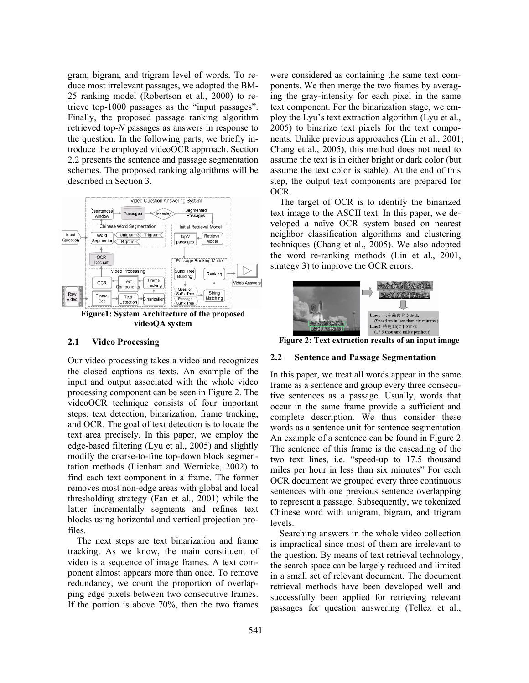gram, bigram, and trigram level of words. To reduce most irrelevant passages, we adopted the BM-25 ranking model (Robertson et al., 2000) to retrieve top-1000 passages as the "input passages". Finally, the proposed passage ranking algorithm retrieved top-*N* passages as answers in response to the question. In the following parts, we briefly introduce the employed videoOCR approach. Section 2.2 presents the sentence and passage segmentation schemes. The proposed ranking algorithms will be described in Section 3.



# **2.1 Video Processing**

Our video processing takes a video and recognizes the closed captions as texts. An example of the input and output associated with the whole video processing component can be seen in Figure 2. The videoOCR technique consists of four important steps: text detection, binarization, frame tracking, and OCR. The goal of text detection is to locate the text area precisely. In this paper, we employ the edge-based filtering (Lyu et al., 2005) and slightly modify the coarse-to-fine top-down block segmentation methods (Lienhart and Wernicke, 2002) to find each text component in a frame. The former removes most non-edge areas with global and local thresholding strategy (Fan et al., 2001) while the latter incrementally segments and refines text blocks using horizontal and vertical projection profiles.

The next steps are text binarization and frame tracking. As we know, the main constituent of video is a sequence of image frames. A text component almost appears more than once. To remove redundancy, we count the proportion of overlapping edge pixels between two consecutive frames. If the portion is above 70%, then the two frames were considered as containing the same text components. We then merge the two frames by averaging the gray-intensity for each pixel in the same text component. For the binarization stage, we employ the Lyu's text extraction algorithm (Lyu et al., 2005) to binarize text pixels for the text components. Unlike previous approaches (Lin et al., 2001; Chang et al., 2005), this method does not need to assume the text is in either bright or dark color (but assume the text color is stable). At the end of this step, the output text components are prepared for OCR.

The target of OCR is to identify the binarized text image to the ASCII text. In this paper, we developed a naïve OCR system based on nearest neighbor classification algorithms and clustering techniques (Chang et al., 2005). We also adopted the word re-ranking methods (Lin et al., 2001, strategy 3) to improve the OCR errors.



**Figure 2: Text extraction results of an input image**

### **2.2 Sentence and Passage Segmentation**

In this paper, we treat all words appear in the same frame as a sentence and group every three consecutive sentences as a passage. Usually, words that occur in the same frame provide a sufficient and complete description. We thus consider these words as a sentence unit for sentence segmentation. An example of a sentence can be found in Figure 2. The sentence of this frame is the cascading of the two text lines, i.e. "speed-up to 17.5 thousand miles per hour in less than six minutes" For each OCR document we grouped every three continuous sentences with one previous sentence overlapping to represent a passage. Subsequently, we tokenized Chinese word with unigram, bigram, and trigram levels.

Searching answers in the whole video collection is impractical since most of them are irrelevant to the question. By means of text retrieval technology, the search space can be largely reduced and limited in a small set of relevant document. The document retrieval methods have been developed well and successfully been applied for retrieving relevant passages for question answering (Tellex et al.,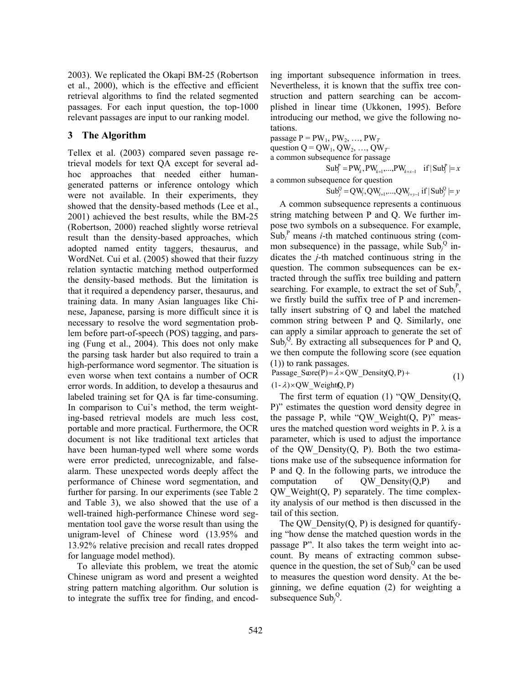2003). We replicated the Okapi BM-25 (Robertson et al., 2000), which is the effective and efficient retrieval algorithms to find the related segmented passages. For each input question, the top-1000 relevant passages are input to our ranking model.

# **3 The Algorithm**

Tellex et al. (2003) compared seven passage retrieval models for text QA except for several adhoc approaches that needed either humangenerated patterns or inference ontology which were not available. In their experiments, they showed that the density-based methods (Lee et al., 2001) achieved the best results, while the BM-25 (Robertson, 2000) reached slightly worse retrieval result than the density-based approaches, which adopted named entity taggers, thesaurus, and WordNet. Cui et al. (2005) showed that their fuzzy relation syntactic matching method outperformed the density-based methods. But the limitation is that it required a dependency parser, thesaurus, and training data. In many Asian languages like Chinese, Japanese, parsing is more difficult since it is necessary to resolve the word segmentation problem before part-of-speech (POS) tagging, and parsing (Fung et al., 2004). This does not only make the parsing task harder but also required to train a high-performance word segmentor. The situation is even worse when text contains a number of OCR error words. In addition, to develop a thesaurus and labeled training set for QA is far time-consuming. In comparison to Cui's method, the term weighting-based retrieval models are much less cost, portable and more practical. Furthermore, the OCR document is not like traditional text articles that have been human-typed well where some words were error predicted, unrecognizable, and falsealarm. These unexpected words deeply affect the performance of Chinese word segmentation, and further for parsing. In our experiments (see Table 2 and Table 3), we also showed that the use of a well-trained high-performance Chinese word segmentation tool gave the worse result than using the unigram-level of Chinese word (13.95% and 13.92% relative precision and recall rates dropped for language model method).

To alleviate this problem, we treat the atomic Chinese unigram as word and present a weighted string pattern matching algorithm. Our solution is to integrate the suffix tree for finding, and encoding important subsequence information in trees. Nevertheless, it is known that the suffix tree construction and pattern searching can be accomplished in linear time (Ukkonen, 1995). Before introducing our method, we give the following notations.

passage  $P = PW_1$ ,  $PW_2$ , ...,  $PW_T$ question  $Q = QW_1, QW_2, ..., QW_T$ 

a common subsequence for passage

 $\text{Sub}_{i}^{\text{P}} = \text{PW}_{k}, \text{PW}_{k+1}, ..., \text{PW}_{k+x-1}$  if  $|\text{Sub}_{i}^{\text{P}}| = x$ a common subsequence for question

 $\text{Sub}_{i}^{\text{Q}} = \text{QW}_{i}, \text{QW}_{i+1}, ..., \text{QW}_{i+y-1}$  if  $|\text{Sub}_{i}^{\text{Q}}| = y$ 

A common subsequence represents a continuous string matching between P and Q. We further impose two symbols on a subsequence. For example,  $\text{Sub}_i^{\text{P}}$  means *i*-th matched continuous string (common subsequence) in the passage, while  $\text{Sub}_j^Q$  indicates the *j*-th matched continuous string in the question. The common subsequences can be extracted through the suffix tree building and pattern searching. For example, to extract the set of Sub<sub>i</sub><sup>P</sup>, we firstly build the suffix tree of P and incrementally insert substring of Q and label the matched common string between P and Q. Similarly, one can apply a similar approach to generate the set of Sub<sub>j</sub><sup>Q</sup>. By extracting all subsequences for P and Q, we then compute the following score (see equation (1)) to rank passages.

 $(1 - \lambda) \times QW$  Weight(Q, P) Passage\_S $\text{core}(P) = \lambda \times QW$ \_Density(Q, P) + (1)

The first term of equation (1) "QW\_Density( $Q$ , P)" estimates the question word density degree in the passage P, while "QW Weight( $Q$ , P)" measures the matched question word weights in P.  $\lambda$  is a parameter, which is used to adjust the importance of the QW\_Density $(Q, P)$ . Both the two estimations make use of the subsequence information for P and Q. In the following parts, we introduce the computation of  $QW$  Density $(Q, P)$  and  $QW$  Weight $(Q, P)$  separately. The time complexity analysis of our method is then discussed in the tail of this section.

The QW Density $(Q, P)$  is designed for quantifying "how dense the matched question words in the passage P". It also takes the term weight into account. By means of extracting common subsequence in the question, the set of  $\text{Sub}_j^Q$  can be used to measures the question word density. At the beginning, we define equation (2) for weighting a subsequence  $Sub_j^Q$ .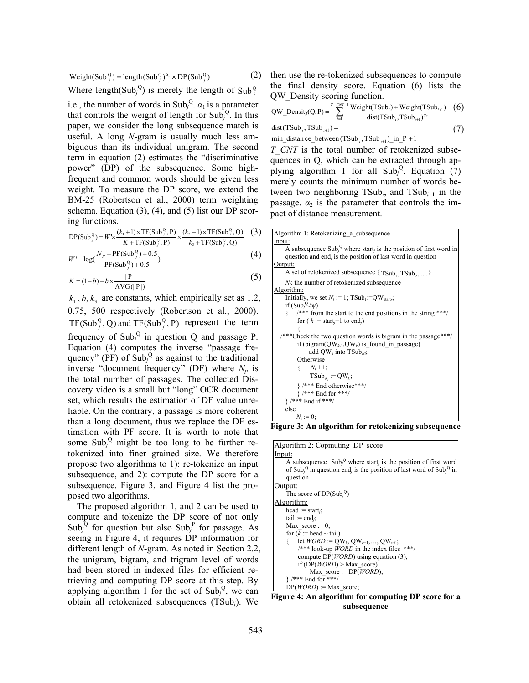$$
Weight(SubjQ) = length(SubjQ)\alphai × DP(SubjQ)
$$
\n(2)

Where length(Sub<sub>j</sub><sup>Q</sup>) is merely the length of Sub<sub>j</sub><sup>Q</sup></sub>

i.e., the number of words in Sub<sub>j</sub><sup>Q</sup>.  $\alpha_1$  is a parameter that controls the weight of length for  $\text{Sub}_j^Q$ . In this paper, we consider the long subsequence match is useful. A long *N*-gram is usually much less ambiguous than its individual unigram. The second term in equation (2) estimates the "discriminative power" (DP) of the subsequence. Some highfrequent and common words should be given less weight. To measure the DP score, we extend the BM-25 (Robertson et al., 2000) term weighting schema. Equation  $(3)$ ,  $(4)$ , and  $(5)$  list our DP scoring functions.

$$
DP(SubjQ) = W' \times \frac{(k_1 + 1) \times TF(SubjQ, P)}{K + TF(SubjQ, P)} \times \frac{(k_3 + 1) \times TF(SubjQ, Q)}{k_3 + TF(SubjQ, Q)}
$$
 (3)

$$
W' = \log(\frac{N_p - PF(\text{Sub}_j^0) + 0.5}{PF(\text{Sub}_j^0) + 0.5})
$$
\n(4)

$$
K = (1-b) + b \times \frac{|P|}{\text{AVG}(|P|)}
$$
\n<sup>(5)</sup>

 $k_1$ ,  $b$ ,  $k_3$  are constants, which empirically set as 1.2, 0.75, 500 respectively (Robertson et al., 2000).  $TF(Sub<sub>j</sub><sup>Q</sup>, Q)$  and  $TF(Sub<sub>j</sub><sup>Q</sup>, P)$  represent the term frequency of  $\text{Sub}_j^Q$  in question Q and passage P. Equation (4) computes the inverse "passage frequency" (PF) of  $\text{Sub}_j^Q$  as against to the traditional inverse "document frequency" (DF) where  $N_p$  is the total number of passages. The collected Discovery video is a small but "long" OCR document set, which results the estimation of DF value unreliable. On the contrary, a passage is more coherent than a long document, thus we replace the DF estimation with PF score. It is worth to note that some  $\text{Sub}_j^Q$  might be too long to be further retokenized into finer grained size. We therefore propose two algorithms to 1): re-tokenize an input subsequence, and 2): compute the DP score for a subsequence. Figure 3, and Figure 4 list the proposed two algorithms.

The proposed algorithm 1, and 2 can be used to compute and tokenize the DP score of not only Sub<sub>j</sub><sup>Q</sup> for question but also Sub<sub>j</sub><sup>P</sup> for passage. As seeing in Figure 4, it requires DP information for different length of *N*-gram. As noted in Section 2.2, the unigram, bigram, and trigram level of words had been stored in indexed files for efficient retrieving and computing DP score at this step. By applying algorithm 1 for the set of  $Sub_j^Q$ , we can obtain all retokenized subsequences (TSub*j*). We

then use the re-tokenized subsequences to compute the final density score. Equation (6) lists the QW\_Density scoring function.

$$
QW\_Density(Q, P) = \sum_{i=1}^{T} \frac{Weight(TSub_i) + Weight(TSub_{i+1}) (6)}{dist(TSub_i, TSub_{i+1})^{\alpha_2}} (6)
$$
  
dist(TSub\_i, TSub\_{i+1}) =  
min\\_distance\_between(TSub\_i, TSub\_{i+1}) in\_P + 1 (7)

*T\_CNT* is the total number of retokenized subsequences in Q, which can be extracted through applying algorithm 1 for all  $\text{Sub}_j^Q$ . Equation (7) merely counts the minimum number of words between two neighboring  $TSub_i$ , and  $TSub_{i+1}$  in the passage.  $a_2$  is the parameter that controls the impact of distance measurement.



**Figure 3: An algorithm for retokenizing subsequence** 

| Algorithm 2: Copmuting DP score                                                                                                                                                                                         |
|-------------------------------------------------------------------------------------------------------------------------------------------------------------------------------------------------------------------------|
| Input:                                                                                                                                                                                                                  |
| A subsequence $\text{Sub}_j^Q$ where start, is the position of first word<br>of Sub <sub>i</sub> <sup>Q</sup> in question end <sub>i</sub> is the position of last word of Sub <sub>i</sub> <sup>Q</sup> in<br>question |
| Output:                                                                                                                                                                                                                 |
| The score of $DP(Sub_i^Q)$                                                                                                                                                                                              |
| Algorithm:                                                                                                                                                                                                              |
| head := start <sub>i</sub> ;                                                                                                                                                                                            |
| tail := end <sub>i</sub> :                                                                                                                                                                                              |
| Max score $:= 0$ ;                                                                                                                                                                                                      |
| for $(k := head \sim tail)$                                                                                                                                                                                             |
| let $WORD := QW_k, QW_{k+1}, \ldots, QW_{tail};$                                                                                                                                                                        |
| $/***$ look-up <i>WORD</i> in the index files ***/                                                                                                                                                                      |
| compute $DP(WORD)$ using equation (3);                                                                                                                                                                                  |
| if $(DP(WORD) > Max score)$                                                                                                                                                                                             |
| Max score := $DP(WORD)$ ;                                                                                                                                                                                               |
| } /*** End for ***/                                                                                                                                                                                                     |
| $DP(WORD) := Max_score;$                                                                                                                                                                                                |

**Figure 4: An algorithm for computing DP score for a subsequence**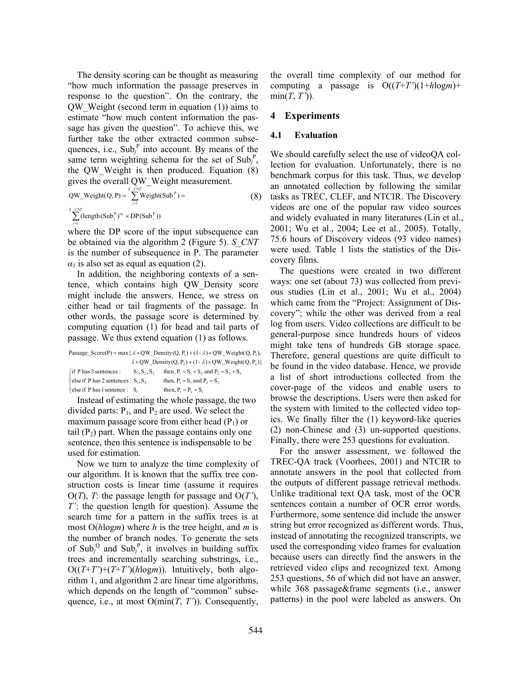The density scoring can be thought as measuring "how much information the passage preserves in response to the question". On the contrary, the QW\_Weight (second term in equation (1)) aims to estimate "how much content information the passage has given the question". To achieve this, we further take the other extracted common subsequences, i.e.,  $\text{Sub}_j^P$  into account. By means of the same term weighting schema for the set of  $\text{Sub}_j^P$ , the QW\_Weight is then produced. Equation (8) gives the overall QW\_Weight measurement.

QW\_Weight(Q, P) = 
$$
\sum_{i=1}^{S} \text{Weight}(\text{Sub}_i^P) =
$$
\n
$$
\sum_{i=1}^{S} (\text{length}(\text{Sub}_i^P)^{\alpha_i} \times \text{DP}(\text{Sub}_i^P))
$$
\n
$$
\sum_{i=1}^{S} (\text{length}(\text{Sub}_i^P)^{\alpha_i} \times \text{DP}(\text{Sub}_i^P))
$$

where the DP score of the input subsequence can be obtained via the algorithm 2 (Figure 5). *S\_CNT* is the number of subsequence in P. The parameter  $\alpha_1$  is also set as equal as equation (2).

In addition, the neighboring contexts of a sentence, which contains high QW\_Density score might include the answers. Hence, we stress on either head or tail fragments of the passage. In other words, the passage score is determined by computing equation (1) for head and tail parts of passage. We thus extend equation (1) as follows.

|                                                                                                     |                 | Passage Score(P) = max { $\lambda \times QW$ Density(Q, P <sub>1</sub> ) + (1 - $\lambda$ ) × QW Weight(Q, P <sub>1</sub> ), |  |  |  |
|-----------------------------------------------------------------------------------------------------|-----------------|------------------------------------------------------------------------------------------------------------------------------|--|--|--|
| $\lambda \times QW$ Density(Q, P <sub>2</sub> ) + (1 - $\lambda$ ) × QW Weight(Q, P <sub>2</sub> )} |                 |                                                                                                                              |  |  |  |
| $\int$ if P has 3 sentences :                                                                       | $S_1, S_2, S_3$ | then, $P_1 = S_1 + S_2$ , and $P_2 = S_2 + S_3$                                                                              |  |  |  |
| $\{\text{else if } P \text{ has } 2 \text{ sentences : } S_1, S_2\}$                                |                 | then, $P_1 = S_1$ , and $P_2 = S_2$ ,                                                                                        |  |  |  |
| else if $P$ has 1 sentence : $S_1$                                                                  |                 | then, $P_1 = P_2 = S_1$                                                                                                      |  |  |  |

Instead of estimating the whole passage, the two divided parts:  $P_1$ , and  $P_2$  are used. We select the maximum passage score from either head  $(P_1)$  or tail  $(P_2)$  part. When the passage contains only one sentence, then this sentence is indispensable to be used for estimation.

Now we turn to analyze the time complexity of our algorithm. It is known that the suffix tree construction costs is linear time (assume it requires O(*T*), *T*: the passage length for passage and O(*T'*), *T'*: the question length for question). Assume the search time for a pattern in the suffix trees is at most O(*h*log*m*) where *h* is the tree height, and *m* is the number of branch nodes. To generate the sets of Sub<sub>j</sub><sup>Q</sup> and Sub<sub>j</sub><sup>P</sup>, it involves in building suffix trees and incrementally searching substrings, i.e.,  $O((T+T')+(T+T')(hlogm))$ . Intuitively, both algorithm 1, and algorithm 2 are linear time algorithms, which depends on the length of "common" subsequence, i.e., at most  $O(\min(T, T'))$ . Consequently,

the overall time complexity of our method for computing a passage is  $O((T+T')(1+hlogm))$ +  $min(T, T')$ ).

# **4 Experiments**

#### **4.1 Evaluation**

We should carefully select the use of videoQA collection for evaluation. Unfortunately, there is no benchmark corpus for this task. Thus, we develop an annotated collection by following the similar tasks as TREC, CLEF, and NTCIR. The Discovery videos are one of the popular raw video sources and widely evaluated in many literatures (Lin et al., 2001; Wu et al., 2004; Lee et al., 2005). Totally, 75.6 hours of Discovery videos (93 video names) were used. Table 1 lists the statistics of the Discovery films.

The questions were created in two different ways: one set (about 73) was collected from previous studies (Lin et al., 2001; Wu et al., 2004) which came from the "Project: Assignment of Discovery"; while the other was derived from a real log from users. Video collections are difficult to be general-purpose since hundreds hours of videos might take tens of hundreds GB storage space. Therefore, general questions are quite difficult to be found in the video database. Hence, we provide a list of short introductions collected from the cover-page of the videos and enable users to browse the descriptions. Users were then asked for the system with limited to the collected video topics. We finally filter the (1) keyword-like queries (2) non-Chinese and (3) un-supported questions. Finally, there were 253 questions for evaluation.

For the answer assessment, we followed the TREC-QA track (Voorhees, 2001) and NTCIR to annotate answers in the pool that collected from the outputs of different passage retrieval methods. Unlike traditional text QA task, most of the OCR sentences contain a number of OCR error words. Furthermore, some sentence did include the answer string but error recognized as different words. Thus, instead of annotating the recognized transcripts, we used the corresponding video frames for evaluation because users can directly find the answers in the retrieved video clips and recognized text. Among 253 questions, 56 of which did not have an answer, while 368 passage&frame segments (i.e., answer patterns) in the pool were labeled as answers. On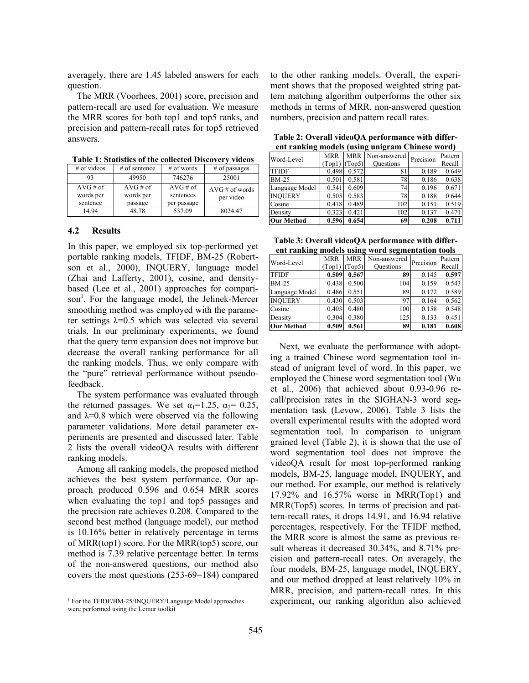averagely, there are 1.45 labeled answers for each question.

The MRR (Voorhees, 2001) score, precision and pattern-recall are used for evaluation. We measure the MRR scores for both top1 and top5 ranks, and precision and pattern-recall rates for top5 retrieved answers.

|                       | 1 AMI 11 MARIJINI VI HIV VVIIVVIVA IZIJVV I VI I<br>,,,,,,,, |                          |                   |  |  |  |  |
|-----------------------|--------------------------------------------------------------|--------------------------|-------------------|--|--|--|--|
| $#$ of videos         | $#$ of sentence                                              | $#$ of words             | $#$ of passages   |  |  |  |  |
| 49950<br>93           |                                                              | 746276                   | 25001             |  |  |  |  |
| $AVG \# of$           | $AVG \# of$                                                  | $AVG \# of$              | $AVG \# of words$ |  |  |  |  |
| words per<br>sentence | words per<br>passage                                         | sentences<br>per passage | per video         |  |  |  |  |

14.94 | 48.78 | 537.09 | 8024.47

**Table 1: Statistics of the collected Discovery videos** 

#### **4.2 Results**

In this paper, we employed six top-performed yet portable ranking models, TFIDF, BM-25 (Robertson et al., 2000), INQUERY, language model (Zhai and Lafferty, 2001), cosine, and densitybased (Lee et al., 2001) approaches for comparison<sup>1</sup>. For the language model, the Jelinek-Mercer smoothing method was employed with the parameter settings  $\lambda = 0.5$  which was selected via several trials. In our preliminary experiments, we found that the query term expansion does not improve but decrease the overall ranking performance for all the ranking models. Thus, we only compare with the "pure" retrieval performance without pseudofeedback.

The system performance was evaluated through the returned passages. We set  $\alpha_1=1.25$ ,  $\alpha_2=0.25$ , and  $\lambda$ =0.8 which were observed via the following parameter validations. More detail parameter experiments are presented and discussed later. Table 2 lists the overall videoQA results with different ranking models.

Among all ranking models, the proposed method achieves the best system performance. Our approach produced 0.596 and 0.654 MRR scores when evaluating the top1 and top5 passages and the precision rate achieves 0.208. Compared to the second best method (language model), our method is 10.16% better in relatively percentage in terms of MRR(top1) score. For the MRR(top5) score, our method is 7.39 relative percentage better. In terms of the non-answered questions, our method also covers the most questions (253-69=184) compared

 $\overline{a}$ 

to the other ranking models. Overall, the experiment shows that the proposed weighted string pattern matching algorithm outperforms the other six methods in terms of MRR, non-answered question numbers, precision and pattern recall rates.

| Table 2: Overall videoQA performance with differ- |  |
|---------------------------------------------------|--|
| ent ranking models (using unigram Chinese word)   |  |

| ---------<br>$\frac{1}{2}$ |            |            |                  |           |         |
|----------------------------|------------|------------|------------------|-----------|---------|
| Word-Level                 | <b>MRR</b> | <b>MRR</b> | Non-answered     | Precision | Pattern |
|                            | (Top1)     | Top5)      | <b>Questions</b> |           | Recall  |
| <b>TFIDF</b>               | 0.498      | 0.572      | 81               | 0.189     | 0.649   |
| <b>BM-25</b>               | 0.501      | 0.581      | 78               | 0.186     | 0.638   |
| Language Model             | 0.541      | 0.609      | 74               | 0.196     | 0.671   |
| <b>INOUERY</b>             | 0.505      | 0.583      | 78               | 0.188     | 0.644   |
| Cosine                     | 0.418      | 0.489      | 102              | 0.151     | 0.519   |
| Density                    | 0.323      | 0.421      | 102              | 0.137     | 0.471   |
| <b>Our Method</b>          | 0.596      | 0.654      | 69               | 0.208     | 0.711   |
|                            |            |            |                  |           |         |

| Table 3: Overall videoQA performance with differ- |
|---------------------------------------------------|
| ent ranking models using word segmentation tools  |

| $\frac{1}{2}$ and $\frac{1}{2}$ models using<br>word segmentation tools |                      |                      |                                  |           |                   |
|-------------------------------------------------------------------------|----------------------|----------------------|----------------------------------|-----------|-------------------|
| Word-Level                                                              | <b>MRR</b><br>(Top1) | <b>MRR</b><br>(Top5) | Non-answered<br><b>Questions</b> | Precision | Pattern<br>Recall |
| <b>TFIDF</b>                                                            | 0.509                | 0.567                | 89                               | 0.145     | 0.597             |
| <b>BM-25</b>                                                            | 0.438                | 0.500                | 104                              | 0.159     | 0.543             |
| Language Model                                                          | 0.486                | 0.551                | 89                               | 0.172     | 0.589             |
| <b>INOUERY</b>                                                          | 0.430                | 0.503                | 97                               | 0.164     | 0.562             |
| Cosine                                                                  | 0.403                | 0.480                | 100                              | 0.158     | 0.548             |
| Density                                                                 | 0.304                | 0.380                | 125                              | 0.133     | 0.451             |
| <b>Our Method</b>                                                       | 0.509                | 0.561                | 89                               | 0.181     | 0.608             |

Next, we evaluate the performance with adopting a trained Chinese word segmentation tool instead of unigram level of word. In this paper, we employed the Chinese word segmentation tool (Wu et al., 2006) that achieved about 0.93-0.96 recall/precision rates in the SIGHAN-3 word segmentation task (Levow, 2006). Table 3 lists the overall experimental results with the adopted word segmentation tool. In comparison to unigram grained level (Table 2), it is shown that the use of word segmentation tool does not improve the videoQA result for most top-performed ranking models, BM-25, language model, INQUERY, and our method. For example, our method is relatively 17.92% and 16.57% worse in MRR(Top1) and MRR(Top5) scores. In terms of precision and pattern-recall rates, it drops 14.91, and 16.94 relative percentages, respectively. For the TFIDF method, the MRR score is almost the same as previous result whereas it decreased 30.34%, and 8.71% precision and pattern-recall rates. On averagely, the four models, BM-25, language model, INQUERY, and our method dropped at least relatively 10% in MRR, precision, and pattern-recall rates. In this experiment, our ranking algorithm also achieved

<sup>&</sup>lt;sup>1</sup> For the TFIDF/BM-25/INQUERY/Language Model approaches were performed using the Lemur toolkit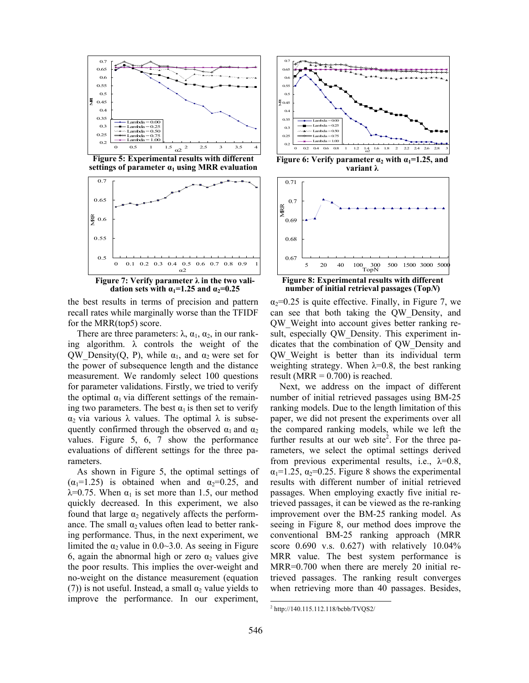

**Figure 5: Experimental results with different settings of parameter**  $a_1$  **using MRR evaluation** 



**Figure 7: Verify parameter λ in the two validation sets with**  $\alpha_1 = 1.25$  **and**  $\alpha_2 = 0.25$ 

the best results in terms of precision and pattern recall rates while marginally worse than the TFIDF for the MRR(top5) score.

There are three parameters:  $\lambda$ ,  $\alpha_1$ ,  $\alpha_2$ , in our ranking algorithm.  $\lambda$  controls the weight of the QW\_Density(Q, P), while  $\alpha_1$ , and  $\alpha_2$  were set for the power of subsequence length and the distance measurement. We randomly select 100 questions for parameter validations. Firstly, we tried to verify the optimal  $\alpha_1$  via different settings of the remaining two parameters. The best  $\alpha_1$  is then set to verify α<sub>2</sub> via various λ values. The optimal λ is subsequently confirmed through the observed  $\alpha_1$  and  $\alpha_2$ values. Figure 5, 6, 7 show the performance evaluations of different settings for the three parameters.

As shown in Figure 5, the optimal settings of  $(\alpha_1=1.25)$  is obtained when and  $\alpha_2=0.25$ , and  $λ=0.75$ . When  $α<sub>1</sub>$  is set more than 1.5, our method quickly decreased. In this experiment, we also found that large  $\alpha_2$  negatively affects the performance. The small  $\alpha_2$  values often lead to better ranking performance. Thus, in the next experiment, we limited the  $\alpha_2$  value in 0.0~3.0. As seeing in Figure 6, again the abnormal high or zero  $\alpha_2$  values give the poor results. This implies the over-weight and no-weight on the distance measurement (equation (7)) is not useful. Instead, a small  $\alpha_2$  value yields to improve the performance. In our experiment,



**Figure 6: Verify parameter**  $\alpha_2$  **with**  $\alpha_1 = 1.25$ **, and variant λ**



**Figure 8: Experimental results with different number of initial retrieval passages (Top***N***)**

 $\alpha_2$ =0.25 is quite effective. Finally, in Figure 7, we can see that both taking the QW\_Density, and QW\_Weight into account gives better ranking result, especially QW Density. This experiment indicates that the combination of QW\_Density and QW\_Weight is better than its individual term weighting strategy. When  $\lambda = 0.8$ , the best ranking result ( $MRR = 0.700$ ) is reached.

Next, we address on the impact of different number of initial retrieved passages using BM-25 ranking models. Due to the length limitation of this paper, we did not present the experiments over all the compared ranking models, while we left the further results at our web site<sup>2</sup>. For the three parameters, we select the optimal settings derived from previous experimental results, i.e.,  $\lambda=0.8$ ,  $\alpha_1$ =1.25,  $\alpha_2$ =0.25. Figure 8 shows the experimental results with different number of initial retrieved passages. When employing exactly five initial retrieved passages, it can be viewed as the re-ranking improvement over the BM-25 ranking model. As seeing in Figure 8, our method does improve the conventional BM-25 ranking approach (MRR score 0.690 v.s. 0.627) with relatively 10.04% MRR value. The best system performance is MRR=0.700 when there are merely 20 initial retrieved passages. The ranking result converges when retrieving more than 40 passages. Besides,

 $\overline{a}$ 2 http://140.115.112.118/bcbb/TVQS2/